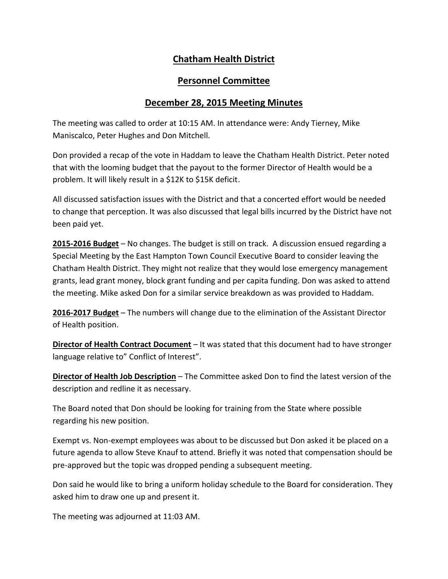## **Chatham Health District**

## **Personnel Committee**

## **December 28, 2015 Meeting Minutes**

The meeting was called to order at 10:15 AM. In attendance were: Andy Tierney, Mike Maniscalco, Peter Hughes and Don Mitchell.

Don provided a recap of the vote in Haddam to leave the Chatham Health District. Peter noted that with the looming budget that the payout to the former Director of Health would be a problem. It will likely result in a \$12K to \$15K deficit.

All discussed satisfaction issues with the District and that a concerted effort would be needed to change that perception. It was also discussed that legal bills incurred by the District have not been paid yet.

**2015-2016 Budget** – No changes. The budget is still on track. A discussion ensued regarding a Special Meeting by the East Hampton Town Council Executive Board to consider leaving the Chatham Health District. They might not realize that they would lose emergency management grants, lead grant money, block grant funding and per capita funding. Don was asked to attend the meeting. Mike asked Don for a similar service breakdown as was provided to Haddam.

**2016-2017 Budget** – The numbers will change due to the elimination of the Assistant Director of Health position.

**Director of Health Contract Document** – It was stated that this document had to have stronger language relative to" Conflict of Interest".

**Director of Health Job Description** – The Committee asked Don to find the latest version of the description and redline it as necessary.

The Board noted that Don should be looking for training from the State where possible regarding his new position.

Exempt vs. Non-exempt employees was about to be discussed but Don asked it be placed on a future agenda to allow Steve Knauf to attend. Briefly it was noted that compensation should be pre-approved but the topic was dropped pending a subsequent meeting.

Don said he would like to bring a uniform holiday schedule to the Board for consideration. They asked him to draw one up and present it.

The meeting was adjourned at 11:03 AM.